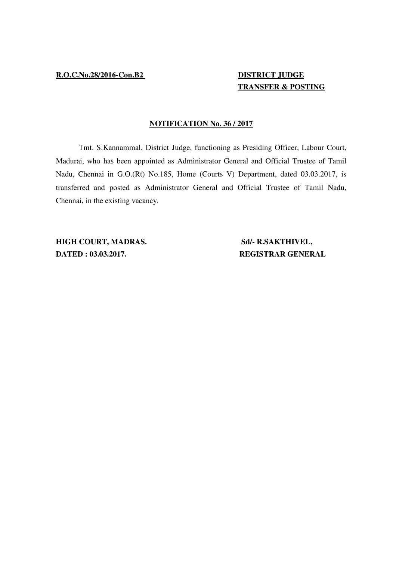## **TRANSFER & POSTING**

## **NOTIFICATION No. 36 / 2017**

Tmt. S.Kannammal, District Judge, functioning as Presiding Officer, Labour Court, Madurai, who has been appointed as Administrator General and Official Trustee of Tamil Nadu, Chennai in G.O.(Rt) No.185, Home (Courts V) Department, dated 03.03.2017, is transferred and posted as Administrator General and Official Trustee of Tamil Nadu, Chennai, in the existing vacancy.

**HIGH COURT, MADRAS.** Sd/- R.SAKTHIVEL, **DATED : 03.03.2017. REGISTRAR GENERAL**